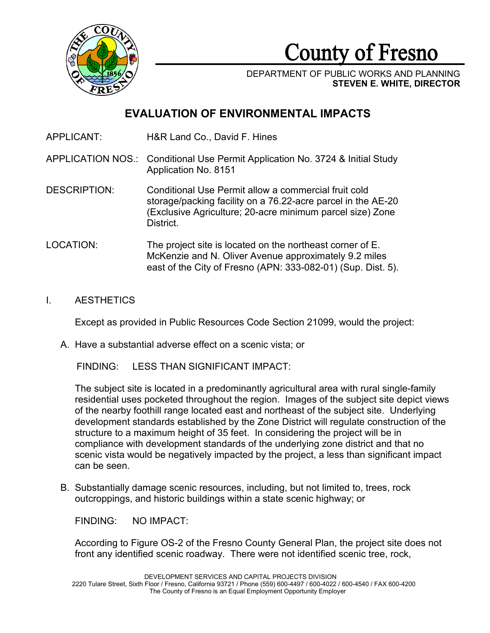

County of Fresno

DEPARTMENT OF PUBLIC WORKS AND PLANNING **STEVEN E. WHITE, DIRECTOR**

# **EVALUATION OF ENVIRONMENTAL IMPACTS**

APPLICANT: H&R Land Co., David F. Hines

APPLICATION NOS.: Conditional Use Permit Application No. 3724 & Initial Study Application No. 8151

- DESCRIPTION: Conditional Use Permit allow a commercial fruit cold storage/packing facility on a 76.22-acre parcel in the AE-20 (Exclusive Agriculture; 20-acre minimum parcel size) Zone District.
- LOCATION: The project site is located on the northeast corner of E. McKenzie and N. Oliver Avenue approximately 9.2 miles east of the City of Fresno (APN: 333-082-01) (Sup. Dist. 5).
- I. AESTHETICS

Except as provided in Public Resources Code Section 21099, would the project:

A. Have a substantial adverse effect on a scenic vista; or

FINDING: LESS THAN SIGNIFICANT IMPACT:

The subject site is located in a predominantly agricultural area with rural single-family residential uses pocketed throughout the region. Images of the subject site depict views of the nearby foothill range located east and northeast of the subject site. Underlying development standards established by the Zone District will regulate construction of the structure to a maximum height of 35 feet. In considering the project will be in compliance with development standards of the underlying zone district and that no scenic vista would be negatively impacted by the project, a less than significant impact can be seen.

B. Substantially damage scenic resources, including, but not limited to, trees, rock outcroppings, and historic buildings within a state scenic highway; or

FINDING: NO IMPACT:

According to Figure OS-2 of the Fresno County General Plan, the project site does not front any identified scenic roadway. There were not identified scenic tree, rock,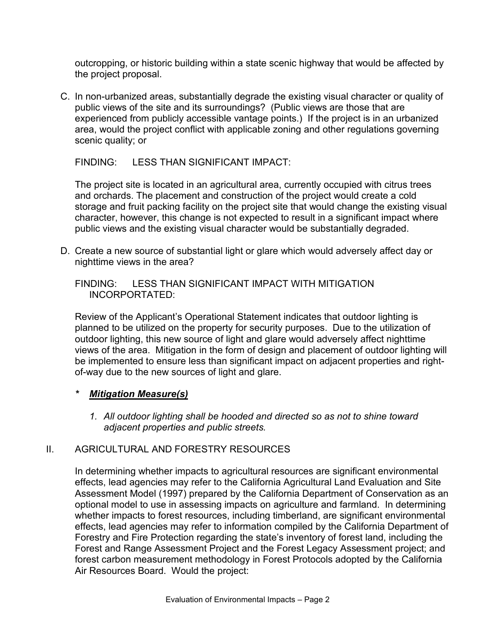outcropping, or historic building within a state scenic highway that would be affected by the project proposal.

C. In non-urbanized areas, substantially degrade the existing visual character or quality of public views of the site and its surroundings? (Public views are those that are experienced from publicly accessible vantage points.) If the project is in an urbanized area, would the project conflict with applicable zoning and other regulations governing scenic quality; or

FINDING: LESS THAN SIGNIFICANT IMPACT:

The project site is located in an agricultural area, currently occupied with citrus trees and orchards. The placement and construction of the project would create a cold storage and fruit packing facility on the project site that would change the existing visual character, however, this change is not expected to result in a significant impact where public views and the existing visual character would be substantially degraded.

D. Create a new source of substantial light or glare which would adversely affect day or nighttime views in the area?

#### FINDING: LESS THAN SIGNIFICANT IMPACT WITH MITIGATION INCORPORTATED:

Review of the Applicant's Operational Statement indicates that outdoor lighting is planned to be utilized on the property for security purposes. Due to the utilization of outdoor lighting, this new source of light and glare would adversely affect nighttime views of the area. Mitigation in the form of design and placement of outdoor lighting will be implemented to ensure less than significant impact on adjacent properties and rightof-way due to the new sources of light and glare.

#### *\* Mitigation Measure(s)*

*1. All outdoor lighting shall be hooded and directed so as not to shine toward adjacent properties and public streets.*

#### II. AGRICULTURAL AND FORESTRY RESOURCES

In determining whether impacts to agricultural resources are significant environmental effects, lead agencies may refer to the California Agricultural Land Evaluation and Site Assessment Model (1997) prepared by the California Department of Conservation as an optional model to use in assessing impacts on agriculture and farmland. In determining whether impacts to forest resources, including timberland, are significant environmental effects, lead agencies may refer to information compiled by the California Department of Forestry and Fire Protection regarding the state's inventory of forest land, including the Forest and Range Assessment Project and the Forest Legacy Assessment project; and forest carbon measurement methodology in Forest Protocols adopted by the California Air Resources Board. Would the project: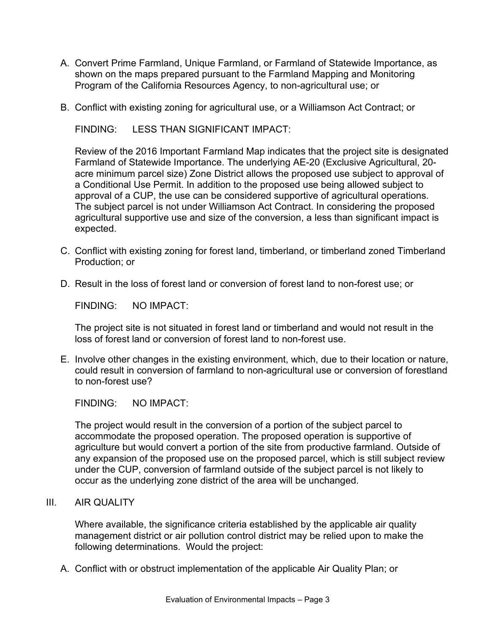- A. Convert Prime Farmland, Unique Farmland, or Farmland of Statewide Importance, as shown on the maps prepared pursuant to the Farmland Mapping and Monitoring Program of the California Resources Agency, to non-agricultural use; or
- B. Conflict with existing zoning for agricultural use, or a Williamson Act Contract; or

FINDING: LESS THAN SIGNIFICANT IMPACT:

Review of the 2016 Important Farmland Map indicates that the project site is designated Farmland of Statewide Importance. The underlying AE-20 (Exclusive Agricultural, 20 acre minimum parcel size) Zone District allows the proposed use subject to approval of a Conditional Use Permit. In addition to the proposed use being allowed subject to approval of a CUP, the use can be considered supportive of agricultural operations. The subject parcel is not under Williamson Act Contract. In considering the proposed agricultural supportive use and size of the conversion, a less than significant impact is expected.

- C. Conflict with existing zoning for forest land, timberland, or timberland zoned Timberland Production; or
- D. Result in the loss of forest land or conversion of forest land to non-forest use; or

FINDING: NO IMPACT:

The project site is not situated in forest land or timberland and would not result in the loss of forest land or conversion of forest land to non-forest use.

E. Involve other changes in the existing environment, which, due to their location or nature, could result in conversion of farmland to non-agricultural use or conversion of forestland to non-forest use?

FINDING: NO IMPACT:

The project would result in the conversion of a portion of the subject parcel to accommodate the proposed operation. The proposed operation is supportive of agriculture but would convert a portion of the site from productive farmland. Outside of any expansion of the proposed use on the proposed parcel, which is still subject review under the CUP, conversion of farmland outside of the subject parcel is not likely to occur as the underlying zone district of the area will be unchanged.

III. AIR QUALITY

Where available, the significance criteria established by the applicable air quality management district or air pollution control district may be relied upon to make the following determinations. Would the project:

A. Conflict with or obstruct implementation of the applicable Air Quality Plan; or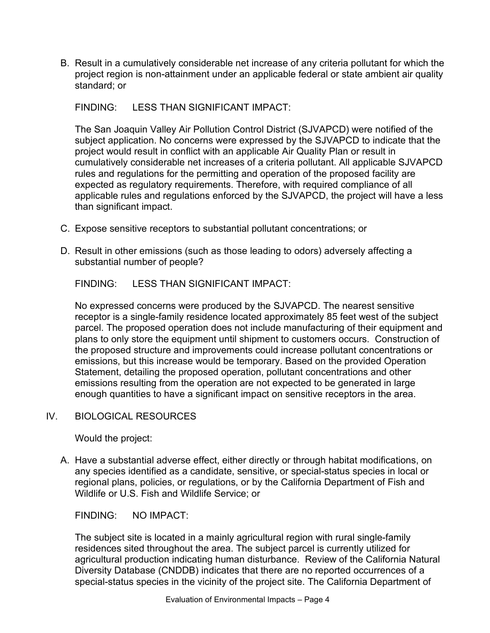B. Result in a cumulatively considerable net increase of any criteria pollutant for which the project region is non-attainment under an applicable federal or state ambient air quality standard; or

FINDING: LESS THAN SIGNIFICANT IMPACT:

The San Joaquin Valley Air Pollution Control District (SJVAPCD) were notified of the subject application. No concerns were expressed by the SJVAPCD to indicate that the project would result in conflict with an applicable Air Quality Plan or result in cumulatively considerable net increases of a criteria pollutant. All applicable SJVAPCD rules and regulations for the permitting and operation of the proposed facility are expected as regulatory requirements. Therefore, with required compliance of all applicable rules and regulations enforced by the SJVAPCD, the project will have a less than significant impact.

- C. Expose sensitive receptors to substantial pollutant concentrations; or
- D. Result in other emissions (such as those leading to odors) adversely affecting a substantial number of people?

FINDING: LESS THAN SIGNIFICANT IMPACT:

No expressed concerns were produced by the SJVAPCD. The nearest sensitive receptor is a single-family residence located approximately 85 feet west of the subject parcel. The proposed operation does not include manufacturing of their equipment and plans to only store the equipment until shipment to customers occurs. Construction of the proposed structure and improvements could increase pollutant concentrations or emissions, but this increase would be temporary. Based on the provided Operation Statement, detailing the proposed operation, pollutant concentrations and other emissions resulting from the operation are not expected to be generated in large enough quantities to have a significant impact on sensitive receptors in the area.

## IV. BIOLOGICAL RESOURCES

Would the project:

A. Have a substantial adverse effect, either directly or through habitat modifications, on any species identified as a candidate, sensitive, or special-status species in local or regional plans, policies, or regulations, or by the California Department of Fish and Wildlife or U.S. Fish and Wildlife Service; or

FINDING: NO IMPACT:

The subject site is located in a mainly agricultural region with rural single-family residences sited throughout the area. The subject parcel is currently utilized for agricultural production indicating human disturbance. Review of the California Natural Diversity Database (CNDDB) indicates that there are no reported occurrences of a special-status species in the vicinity of the project site. The California Department of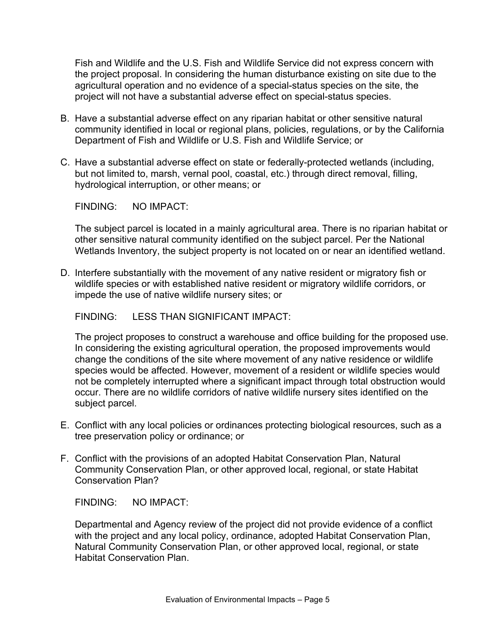Fish and Wildlife and the U.S. Fish and Wildlife Service did not express concern with the project proposal. In considering the human disturbance existing on site due to the agricultural operation and no evidence of a special-status species on the site, the project will not have a substantial adverse effect on special-status species.

- B. Have a substantial adverse effect on any riparian habitat or other sensitive natural community identified in local or regional plans, policies, regulations, or by the California Department of Fish and Wildlife or U.S. Fish and Wildlife Service; or
- C. Have a substantial adverse effect on state or federally-protected wetlands (including, but not limited to, marsh, vernal pool, coastal, etc.) through direct removal, filling, hydrological interruption, or other means; or

FINDING: NO IMPACT:

The subject parcel is located in a mainly agricultural area. There is no riparian habitat or other sensitive natural community identified on the subject parcel. Per the National Wetlands Inventory, the subject property is not located on or near an identified wetland.

D. Interfere substantially with the movement of any native resident or migratory fish or wildlife species or with established native resident or migratory wildlife corridors, or impede the use of native wildlife nursery sites; or

FINDING: LESS THAN SIGNIFICANT IMPACT:

The project proposes to construct a warehouse and office building for the proposed use. In considering the existing agricultural operation, the proposed improvements would change the conditions of the site where movement of any native residence or wildlife species would be affected. However, movement of a resident or wildlife species would not be completely interrupted where a significant impact through total obstruction would occur. There are no wildlife corridors of native wildlife nursery sites identified on the subject parcel.

- E. Conflict with any local policies or ordinances protecting biological resources, such as a tree preservation policy or ordinance; or
- F. Conflict with the provisions of an adopted Habitat Conservation Plan, Natural Community Conservation Plan, or other approved local, regional, or state Habitat Conservation Plan?

FINDING: NO IMPACT:

Departmental and Agency review of the project did not provide evidence of a conflict with the project and any local policy, ordinance, adopted Habitat Conservation Plan, Natural Community Conservation Plan, or other approved local, regional, or state Habitat Conservation Plan.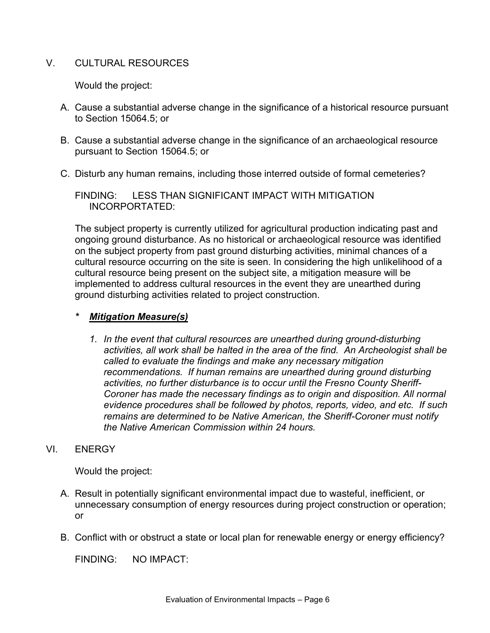### V. CULTURAL RESOURCES

Would the project:

- A. Cause a substantial adverse change in the significance of a historical resource pursuant to Section 15064.5; or
- B. Cause a substantial adverse change in the significance of an archaeological resource pursuant to Section 15064.5; or
- C. Disturb any human remains, including those interred outside of formal cemeteries?

FINDING: LESS THAN SIGNIFICANT IMPACT WITH MITIGATION INCORPORTATED:

The subject property is currently utilized for agricultural production indicating past and ongoing ground disturbance. As no historical or archaeological resource was identified on the subject property from past ground disturbing activities, minimal chances of a cultural resource occurring on the site is seen. In considering the high unlikelihood of a cultural resource being present on the subject site, a mitigation measure will be implemented to address cultural resources in the event they are unearthed during ground disturbing activities related to project construction.

#### *\* Mitigation Measure(s)*

*1. In the event that cultural resources are unearthed during ground-disturbing activities, all work shall be halted in the area of the find. An Archeologist shall be called to evaluate the findings and make any necessary mitigation recommendations. If human remains are unearthed during ground disturbing activities, no further disturbance is to occur until the Fresno County Sheriff-Coroner has made the necessary findings as to origin and disposition. All normal evidence procedures shall be followed by photos, reports, video, and etc. If such remains are determined to be Native American, the Sheriff-Coroner must notify the Native American Commission within 24 hours.*

#### VI. ENERGY

Would the project:

- A. Result in potentially significant environmental impact due to wasteful, inefficient, or unnecessary consumption of energy resources during project construction or operation; or
- B. Conflict with or obstruct a state or local plan for renewable energy or energy efficiency?

FINDING: NO IMPACT: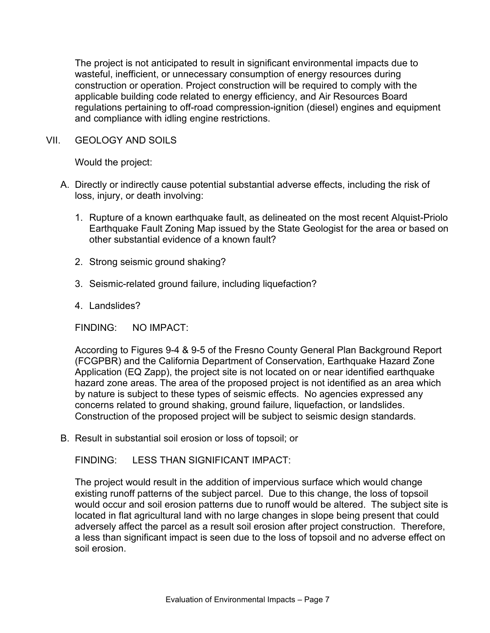The project is not anticipated to result in significant environmental impacts due to wasteful, inefficient, or unnecessary consumption of energy resources during construction or operation. Project construction will be required to comply with the applicable building code related to energy efficiency, and Air Resources Board regulations pertaining to off-road compression-ignition (diesel) engines and equipment and compliance with idling engine restrictions.

VII. GEOLOGY AND SOILS

Would the project:

- A. Directly or indirectly cause potential substantial adverse effects, including the risk of loss, injury, or death involving:
	- 1. Rupture of a known earthquake fault, as delineated on the most recent Alquist-Priolo Earthquake Fault Zoning Map issued by the State Geologist for the area or based on other substantial evidence of a known fault?
	- 2. Strong seismic ground shaking?
	- 3. Seismic-related ground failure, including liquefaction?
	- 4. Landslides?

FINDING: NO IMPACT:

According to Figures 9-4 & 9-5 of the Fresno County General Plan Background Report (FCGPBR) and the California Department of Conservation, Earthquake Hazard Zone Application (EQ Zapp), the project site is not located on or near identified earthquake hazard zone areas. The area of the proposed project is not identified as an area which by nature is subject to these types of seismic effects. No agencies expressed any concerns related to ground shaking, ground failure, liquefaction, or landslides. Construction of the proposed project will be subject to seismic design standards.

B. Result in substantial soil erosion or loss of topsoil; or

FINDING: LESS THAN SIGNIFICANT IMPACT:

The project would result in the addition of impervious surface which would change existing runoff patterns of the subject parcel. Due to this change, the loss of topsoil would occur and soil erosion patterns due to runoff would be altered. The subject site is located in flat agricultural land with no large changes in slope being present that could adversely affect the parcel as a result soil erosion after project construction. Therefore, a less than significant impact is seen due to the loss of topsoil and no adverse effect on soil erosion.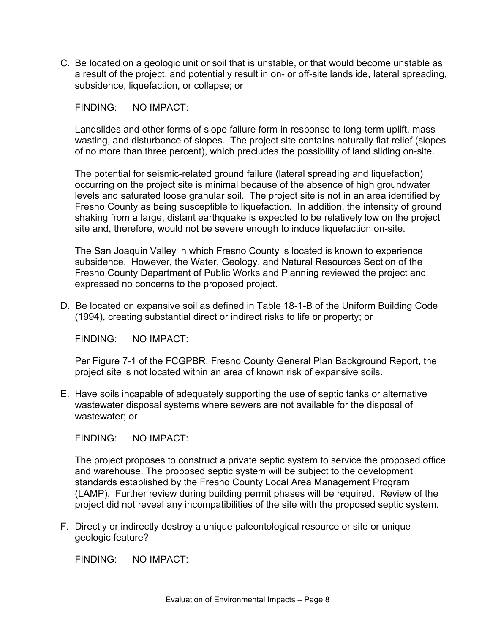C. Be located on a geologic unit or soil that is unstable, or that would become unstable as a result of the project, and potentially result in on- or off-site landslide, lateral spreading, subsidence, liquefaction, or collapse; or

FINDING: NO IMPACT:

Landslides and other forms of slope failure form in response to long-term uplift, mass wasting, and disturbance of slopes. The project site contains naturally flat relief (slopes of no more than three percent), which precludes the possibility of land sliding on-site.

The potential for seismic-related ground failure (lateral spreading and liquefaction) occurring on the project site is minimal because of the absence of high groundwater levels and saturated loose granular soil. The project site is not in an area identified by Fresno County as being susceptible to liquefaction. In addition, the intensity of ground shaking from a large, distant earthquake is expected to be relatively low on the project site and, therefore, would not be severe enough to induce liquefaction on-site.

The San Joaquin Valley in which Fresno County is located is known to experience subsidence. However, the Water, Geology, and Natural Resources Section of the Fresno County Department of Public Works and Planning reviewed the project and expressed no concerns to the proposed project.

D. Be located on expansive soil as defined in Table 18-1-B of the Uniform Building Code (1994), creating substantial direct or indirect risks to life or property; or

FINDING: NO IMPACT:

Per Figure 7-1 of the FCGPBR, Fresno County General Plan Background Report, the project site is not located within an area of known risk of expansive soils.

E. Have soils incapable of adequately supporting the use of septic tanks or alternative wastewater disposal systems where sewers are not available for the disposal of wastewater; or

FINDING: NO IMPACT:

The project proposes to construct a private septic system to service the proposed office and warehouse. The proposed septic system will be subject to the development standards established by the Fresno County Local Area Management Program (LAMP). Further review during building permit phases will be required. Review of the project did not reveal any incompatibilities of the site with the proposed septic system.

F. Directly or indirectly destroy a unique paleontological resource or site or unique geologic feature?

FINDING: NO IMPACT: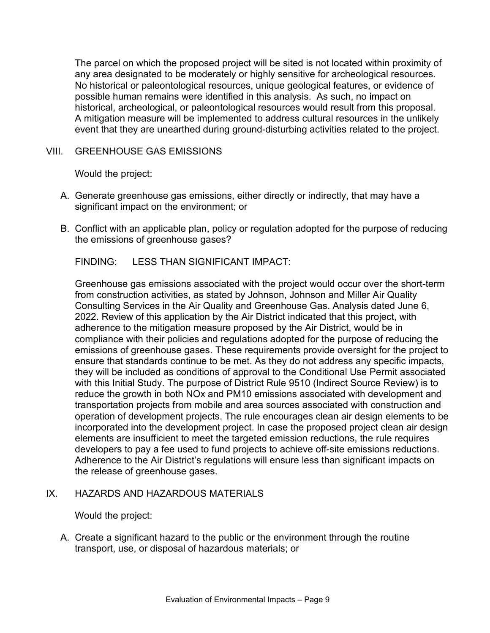The parcel on which the proposed project will be sited is not located within proximity of any area designated to be moderately or highly sensitive for archeological resources. No historical or paleontological resources, unique geological features, or evidence of possible human remains were identified in this analysis. As such, no impact on historical, archeological, or paleontological resources would result from this proposal. A mitigation measure will be implemented to address cultural resources in the unlikely event that they are unearthed during ground-disturbing activities related to the project.

### VIII. GREENHOUSE GAS EMISSIONS

Would the project:

- A. Generate greenhouse gas emissions, either directly or indirectly, that may have a significant impact on the environment; or
- B. Conflict with an applicable plan, policy or regulation adopted for the purpose of reducing the emissions of greenhouse gases?

FINDING: LESS THAN SIGNIFICANT IMPACT:

Greenhouse gas emissions associated with the project would occur over the short-term from construction activities, as stated by Johnson, Johnson and Miller Air Quality Consulting Services in the Air Quality and Greenhouse Gas. Analysis dated June 6, 2022. Review of this application by the Air District indicated that this project, with adherence to the mitigation measure proposed by the Air District, would be in compliance with their policies and regulations adopted for the purpose of reducing the emissions of greenhouse gases. These requirements provide oversight for the project to ensure that standards continue to be met. As they do not address any specific impacts, they will be included as conditions of approval to the Conditional Use Permit associated with this Initial Study. The purpose of District Rule 9510 (Indirect Source Review) is to reduce the growth in both NOx and PM10 emissions associated with development and transportation projects from mobile and area sources associated with construction and operation of development projects. The rule encourages clean air design elements to be incorporated into the development project. In case the proposed project clean air design elements are insufficient to meet the targeted emission reductions, the rule requires developers to pay a fee used to fund projects to achieve off-site emissions reductions. Adherence to the Air District's regulations will ensure less than significant impacts on the release of greenhouse gases.

## IX. HAZARDS AND HAZARDOUS MATERIALS

Would the project:

A. Create a significant hazard to the public or the environment through the routine transport, use, or disposal of hazardous materials; or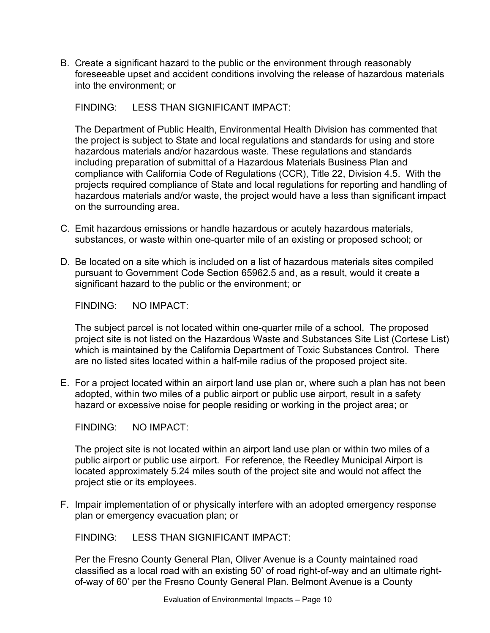B. Create a significant hazard to the public or the environment through reasonably foreseeable upset and accident conditions involving the release of hazardous materials into the environment; or

FINDING: LESS THAN SIGNIFICANT IMPACT:

The Department of Public Health, Environmental Health Division has commented that the project is subject to State and local regulations and standards for using and store hazardous materials and/or hazardous waste. These regulations and standards including preparation of submittal of a Hazardous Materials Business Plan and compliance with California Code of Regulations (CCR), Title 22, Division 4.5. With the projects required compliance of State and local regulations for reporting and handling of hazardous materials and/or waste, the project would have a less than significant impact on the surrounding area.

- C. Emit hazardous emissions or handle hazardous or acutely hazardous materials, substances, or waste within one-quarter mile of an existing or proposed school; or
- D. Be located on a site which is included on a list of hazardous materials sites compiled pursuant to Government Code Section 65962.5 and, as a result, would it create a significant hazard to the public or the environment; or

FINDING: NO IMPACT:

The subject parcel is not located within one-quarter mile of a school. The proposed project site is not listed on the Hazardous Waste and Substances Site List (Cortese List) which is maintained by the California Department of Toxic Substances Control. There are no listed sites located within a half-mile radius of the proposed project site.

E. For a project located within an airport land use plan or, where such a plan has not been adopted, within two miles of a public airport or public use airport, result in a safety hazard or excessive noise for people residing or working in the project area; or

FINDING: NO IMPACT:

The project site is not located within an airport land use plan or within two miles of a public airport or public use airport. For reference, the Reedley Municipal Airport is located approximately 5.24 miles south of the project site and would not affect the project stie or its employees.

F. Impair implementation of or physically interfere with an adopted emergency response plan or emergency evacuation plan; or

FINDING: LESS THAN SIGNIFICANT IMPACT:

Per the Fresno County General Plan, Oliver Avenue is a County maintained road classified as a local road with an existing 50' of road right-of-way and an ultimate rightof-way of 60' per the Fresno County General Plan. Belmont Avenue is a County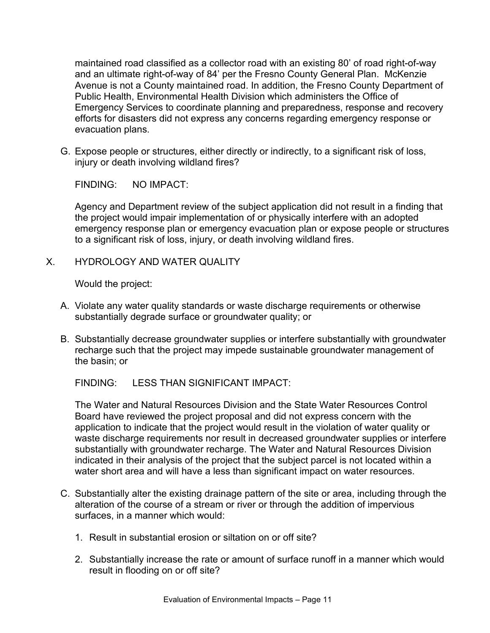maintained road classified as a collector road with an existing 80' of road right-of-way and an ultimate right-of-way of 84' per the Fresno County General Plan. McKenzie Avenue is not a County maintained road. In addition, the Fresno County Department of Public Health, Environmental Health Division which administers the Office of Emergency Services to coordinate planning and preparedness, response and recovery efforts for disasters did not express any concerns regarding emergency response or evacuation plans.

G. Expose people or structures, either directly or indirectly, to a significant risk of loss, injury or death involving wildland fires?

FINDING: NO IMPACT:

Agency and Department review of the subject application did not result in a finding that the project would impair implementation of or physically interfere with an adopted emergency response plan or emergency evacuation plan or expose people or structures to a significant risk of loss, injury, or death involving wildland fires.

X. HYDROLOGY AND WATER QUALITY

Would the project:

- A. Violate any water quality standards or waste discharge requirements or otherwise substantially degrade surface or groundwater quality; or
- B. Substantially decrease groundwater supplies or interfere substantially with groundwater recharge such that the project may impede sustainable groundwater management of the basin; or

FINDING: LESS THAN SIGNIFICANT IMPACT:

The Water and Natural Resources Division and the State Water Resources Control Board have reviewed the project proposal and did not express concern with the application to indicate that the project would result in the violation of water quality or waste discharge requirements nor result in decreased groundwater supplies or interfere substantially with groundwater recharge. The Water and Natural Resources Division indicated in their analysis of the project that the subject parcel is not located within a water short area and will have a less than significant impact on water resources.

- C. Substantially alter the existing drainage pattern of the site or area, including through the alteration of the course of a stream or river or through the addition of impervious surfaces, in a manner which would:
	- 1. Result in substantial erosion or siltation on or off site?
	- 2. Substantially increase the rate or amount of surface runoff in a manner which would result in flooding on or off site?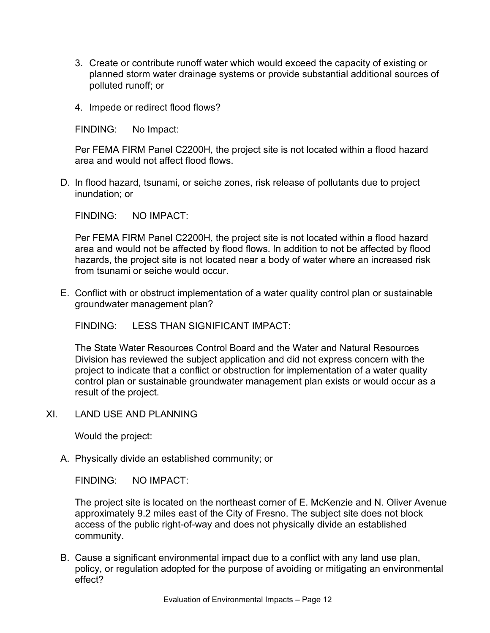- 3. Create or contribute runoff water which would exceed the capacity of existing or planned storm water drainage systems or provide substantial additional sources of polluted runoff; or
- 4. Impede or redirect flood flows?

FINDING: No Impact:

Per FEMA FIRM Panel C2200H, the project site is not located within a flood hazard area and would not affect flood flows.

D. In flood hazard, tsunami, or seiche zones, risk release of pollutants due to project inundation; or

FINDING: NO IMPACT:

Per FEMA FIRM Panel C2200H, the project site is not located within a flood hazard area and would not be affected by flood flows. In addition to not be affected by flood hazards, the project site is not located near a body of water where an increased risk from tsunami or seiche would occur.

E. Conflict with or obstruct implementation of a water quality control plan or sustainable groundwater management plan?

FINDING: LESS THAN SIGNIFICANT IMPACT:

The State Water Resources Control Board and the Water and Natural Resources Division has reviewed the subject application and did not express concern with the project to indicate that a conflict or obstruction for implementation of a water quality control plan or sustainable groundwater management plan exists or would occur as a result of the project.

XI. LAND USE AND PLANNING

Would the project:

A. Physically divide an established community; or

FINDING: NO IMPACT:

The project site is located on the northeast corner of E. McKenzie and N. Oliver Avenue approximately 9.2 miles east of the City of Fresno. The subject site does not block access of the public right-of-way and does not physically divide an established community.

B. Cause a significant environmental impact due to a conflict with any land use plan, policy, or regulation adopted for the purpose of avoiding or mitigating an environmental effect?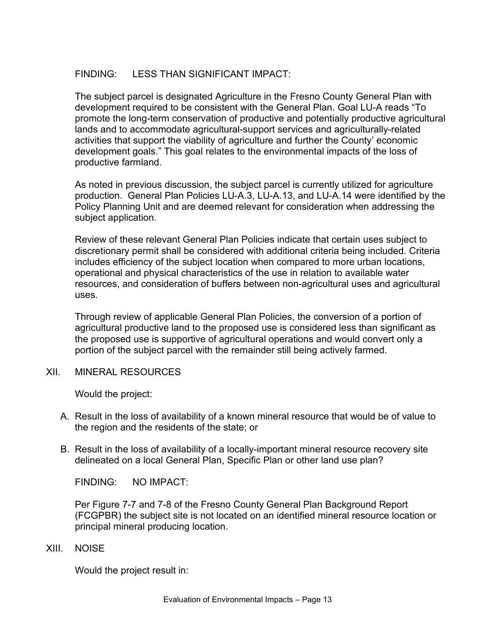## FINDING: LESS THAN SIGNIFICANT IMPACT:

The subject parcel is designated Agriculture in the Fresno County General Plan with development required to be consistent with the General Plan. Goal LU-A reads "To promote the long-term conservation of productive and potentially productive agricultural lands and to accommodate agricultural-support services and agriculturally-related activities that support the viability of agriculture and further the County' economic development goals." This goal relates to the environmental impacts of the loss of productive farmland.

As noted in previous discussion, the subject parcel is currently utilized for agriculture production. General Plan Policies LU-A.3, LU-A.13, and LU-A.14 were identified by the Policy Planning Unit and are deemed relevant for consideration when addressing the subject application.

Review of these relevant General Plan Policies indicate that certain uses subject to discretionary permit shall be considered with additional criteria being included. Criteria includes efficiency of the subject location when compared to more urban locations, operational and physical characteristics of the use in relation to available water resources, and consideration of buffers between non-agricultural uses and agricultural uses.

Through review of applicable General Plan Policies, the conversion of a portion of agricultural productive land to the proposed use is considered less than significant as the proposed use is supportive of agricultural operations and would convert only a portion of the subject parcel with the remainder still being actively farmed.

XII. MINERAL RESOURCES

Would the project:

- A. Result in the loss of availability of a known mineral resource that would be of value to the region and the residents of the state; or
- B. Result in the loss of availability of a locally-important mineral resource recovery site delineated on a local General Plan, Specific Plan or other land use plan?

FINDING: NO IMPACT:

Per Figure 7-7 and 7-8 of the Fresno County General Plan Background Report (FCGPBR) the subject site is not located on an identified mineral resource location or principal mineral producing location.

XIII. NOISE

Would the project result in: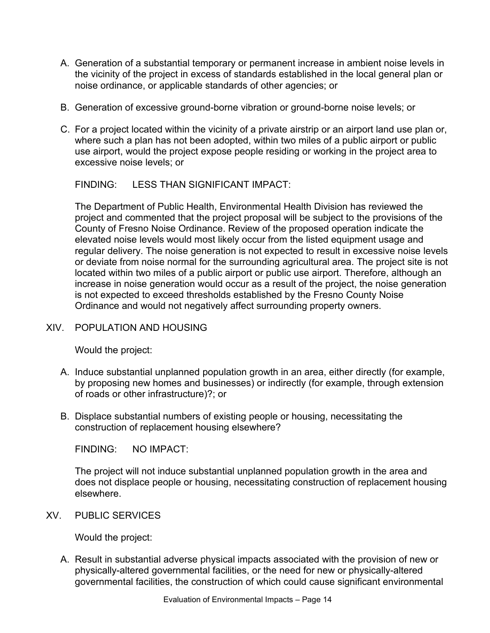- A. Generation of a substantial temporary or permanent increase in ambient noise levels in the vicinity of the project in excess of standards established in the local general plan or noise ordinance, or applicable standards of other agencies; or
- B. Generation of excessive ground-borne vibration or ground-borne noise levels; or
- C. For a project located within the vicinity of a private airstrip or an airport land use plan or, where such a plan has not been adopted, within two miles of a public airport or public use airport, would the project expose people residing or working in the project area to excessive noise levels; or

FINDING: LESS THAN SIGNIFICANT IMPACT:

The Department of Public Health, Environmental Health Division has reviewed the project and commented that the project proposal will be subject to the provisions of the County of Fresno Noise Ordinance. Review of the proposed operation indicate the elevated noise levels would most likely occur from the listed equipment usage and regular delivery. The noise generation is not expected to result in excessive noise levels or deviate from noise normal for the surrounding agricultural area. The project site is not located within two miles of a public airport or public use airport. Therefore, although an increase in noise generation would occur as a result of the project, the noise generation is not expected to exceed thresholds established by the Fresno County Noise Ordinance and would not negatively affect surrounding property owners.

## XIV. POPULATION AND HOUSING

Would the project:

- A. Induce substantial unplanned population growth in an area, either directly (for example, by proposing new homes and businesses) or indirectly (for example, through extension of roads or other infrastructure)?; or
- B. Displace substantial numbers of existing people or housing, necessitating the construction of replacement housing elsewhere?

FINDING: NO IMPACT:

The project will not induce substantial unplanned population growth in the area and does not displace people or housing, necessitating construction of replacement housing elsewhere.

XV. PUBLIC SERVICES

Would the project:

A. Result in substantial adverse physical impacts associated with the provision of new or physically-altered governmental facilities, or the need for new or physically-altered governmental facilities, the construction of which could cause significant environmental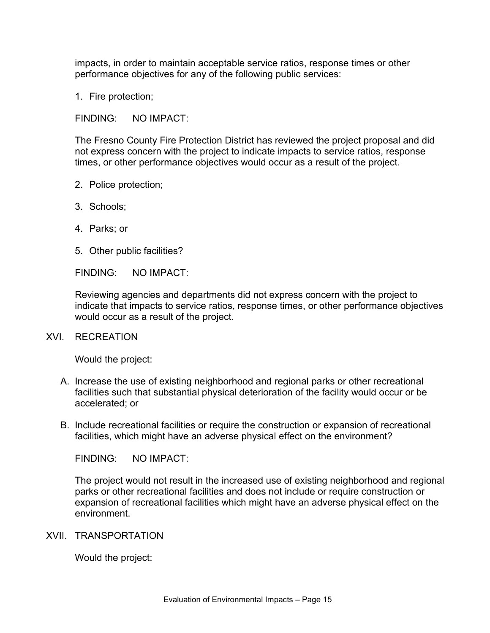impacts, in order to maintain acceptable service ratios, response times or other performance objectives for any of the following public services:

1. Fire protection;

FINDING: NO IMPACT:

The Fresno County Fire Protection District has reviewed the project proposal and did not express concern with the project to indicate impacts to service ratios, response times, or other performance objectives would occur as a result of the project.

- 2. Police protection;
- 3. Schools;
- 4. Parks; or
- 5. Other public facilities?

FINDING: NO IMPACT:

Reviewing agencies and departments did not express concern with the project to indicate that impacts to service ratios, response times, or other performance objectives would occur as a result of the project.

#### XVI. RECREATION

Would the project:

- A. Increase the use of existing neighborhood and regional parks or other recreational facilities such that substantial physical deterioration of the facility would occur or be accelerated; or
- B. Include recreational facilities or require the construction or expansion of recreational facilities, which might have an adverse physical effect on the environment?

FINDING: NO IMPACT:

The project would not result in the increased use of existing neighborhood and regional parks or other recreational facilities and does not include or require construction or expansion of recreational facilities which might have an adverse physical effect on the environment.

#### XVII. TRANSPORTATION

Would the project: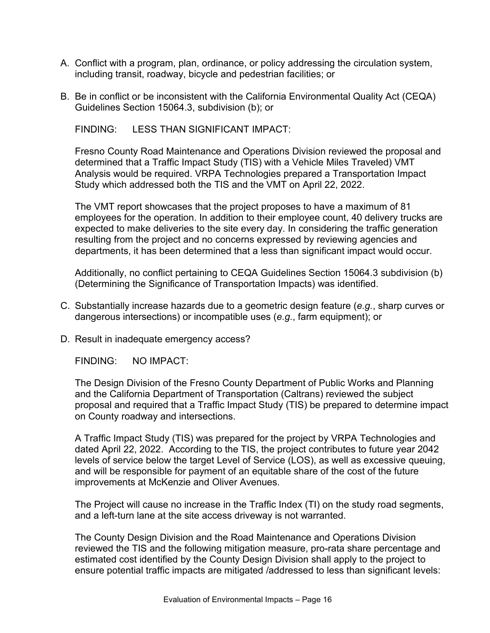- A. Conflict with a program, plan, ordinance, or policy addressing the circulation system, including transit, roadway, bicycle and pedestrian facilities; or
- B. Be in conflict or be inconsistent with the California Environmental Quality Act (CEQA) Guidelines Section 15064.3, subdivision (b); or

FINDING: LESS THAN SIGNIFICANT IMPACT:

Fresno County Road Maintenance and Operations Division reviewed the proposal and determined that a Traffic Impact Study (TIS) with a Vehicle Miles Traveled) VMT Analysis would be required. VRPA Technologies prepared a Transportation Impact Study which addressed both the TIS and the VMT on April 22, 2022.

The VMT report showcases that the project proposes to have a maximum of 81 employees for the operation. In addition to their employee count, 40 delivery trucks are expected to make deliveries to the site every day. In considering the traffic generation resulting from the project and no concerns expressed by reviewing agencies and departments, it has been determined that a less than significant impact would occur.

Additionally, no conflict pertaining to CEQA Guidelines Section 15064.3 subdivision (b) (Determining the Significance of Transportation Impacts) was identified.

- C. Substantially increase hazards due to a geometric design feature (*e.g.*, sharp curves or dangerous intersections) or incompatible uses (*e.g.*, farm equipment); or
- D. Result in inadequate emergency access?

FINDING: NO IMPACT:

The Design Division of the Fresno County Department of Public Works and Planning and the California Department of Transportation (Caltrans) reviewed the subject proposal and required that a Traffic Impact Study (TIS) be prepared to determine impact on County roadway and intersections.

A Traffic Impact Study (TIS) was prepared for the project by VRPA Technologies and dated April 22, 2022. According to the TIS, the project contributes to future year 2042 levels of service below the target Level of Service (LOS), as well as excessive queuing, and will be responsible for payment of an equitable share of the cost of the future improvements at McKenzie and Oliver Avenues.

The Project will cause no increase in the Traffic Index (TI) on the study road segments, and a left-turn lane at the site access driveway is not warranted.

The County Design Division and the Road Maintenance and Operations Division reviewed the TIS and the following mitigation measure, pro-rata share percentage and estimated cost identified by the County Design Division shall apply to the project to ensure potential traffic impacts are mitigated /addressed to less than significant levels: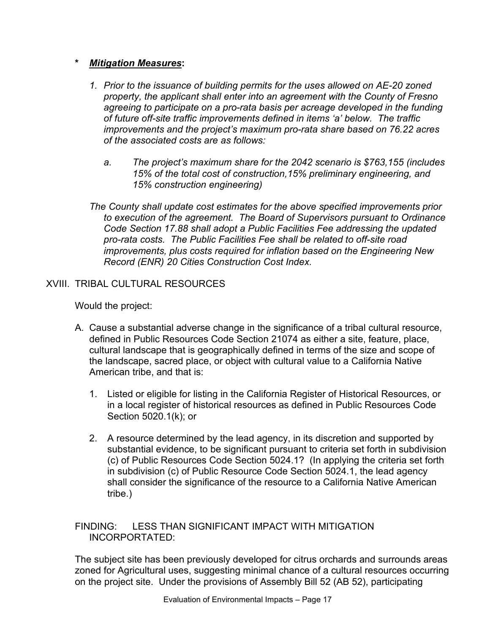## **\*** *Mitigation Measures***:**

- *1. Prior to the issuance of building permits for the uses allowed on AE-20 zoned property, the applicant shall enter into an agreement with the County of Fresno agreeing to participate on a pro-rata basis per acreage developed in the funding of future off-site traffic improvements defined in items 'a' below. The traffic improvements and the project's maximum pro-rata share based on 76.22 acres of the associated costs are as follows:*
	- *a. The project's maximum share for the 2042 scenario is \$763,155 (includes 15% of the total cost of construction,15% preliminary engineering, and 15% construction engineering)*
- *The County shall update cost estimates for the above specified improvements prior to execution of the agreement. The Board of Supervisors pursuant to Ordinance Code Section 17.88 shall adopt a Public Facilities Fee addressing the updated pro-rata costs. The Public Facilities Fee shall be related to off-site road improvements, plus costs required for inflation based on the Engineering New Record (ENR) 20 Cities Construction Cost Index.*

# XVIII. TRIBAL CULTURAL RESOURCES

Would the project:

- A. Cause a substantial adverse change in the significance of a tribal cultural resource, defined in Public Resources Code Section 21074 as either a site, feature, place, cultural landscape that is geographically defined in terms of the size and scope of the landscape, sacred place, or object with cultural value to a California Native American tribe, and that is:
	- 1. Listed or eligible for listing in the California Register of Historical Resources, or in a local register of historical resources as defined in Public Resources Code Section 5020.1(k); or
	- 2. A resource determined by the lead agency, in its discretion and supported by substantial evidence, to be significant pursuant to criteria set forth in subdivision (c) of Public Resources Code Section 5024.1? (In applying the criteria set forth in subdivision (c) of Public Resource Code Section 5024.1, the lead agency shall consider the significance of the resource to a California Native American tribe.)

#### FINDING: LESS THAN SIGNIFICANT IMPACT WITH MITIGATION INCORPORTATED:

The subject site has been previously developed for citrus orchards and surrounds areas zoned for Agricultural uses, suggesting minimal chance of a cultural resources occurring on the project site. Under the provisions of Assembly Bill 52 (AB 52), participating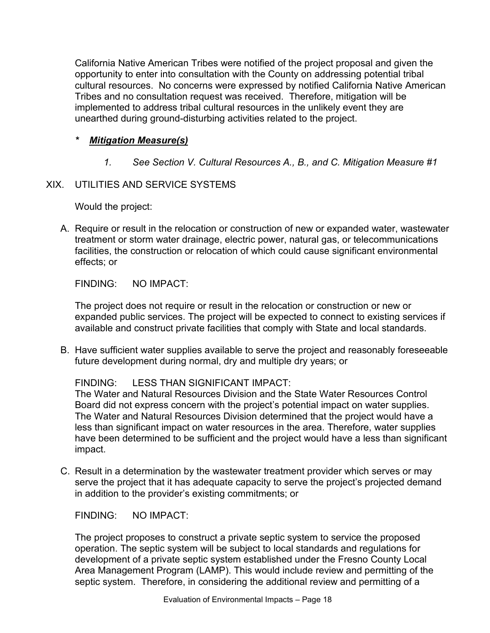California Native American Tribes were notified of the project proposal and given the opportunity to enter into consultation with the County on addressing potential tribal cultural resources. No concerns were expressed by notified California Native American Tribes and no consultation request was received. Therefore, mitigation will be implemented to address tribal cultural resources in the unlikely event they are unearthed during ground-disturbing activities related to the project.

## *\* Mitigation Measure(s)*

*1. See Section V. Cultural Resources A., B., and C. Mitigation Measure #1*

## XIX. UTILITIES AND SERVICE SYSTEMS

Would the project:

A. Require or result in the relocation or construction of new or expanded water, wastewater treatment or storm water drainage, electric power, natural gas, or telecommunications facilities, the construction or relocation of which could cause significant environmental effects; or

FINDING: NO IMPACT:

The project does not require or result in the relocation or construction or new or expanded public services. The project will be expected to connect to existing services if available and construct private facilities that comply with State and local standards.

B. Have sufficient water supplies available to serve the project and reasonably foreseeable future development during normal, dry and multiple dry years; or

# FINDING: LESS THAN SIGNIFICANT IMPACT:

The Water and Natural Resources Division and the State Water Resources Control Board did not express concern with the project's potential impact on water supplies. The Water and Natural Resources Division determined that the project would have a less than significant impact on water resources in the area. Therefore, water supplies have been determined to be sufficient and the project would have a less than significant impact.

C. Result in a determination by the wastewater treatment provider which serves or may serve the project that it has adequate capacity to serve the project's projected demand in addition to the provider's existing commitments; or

FINDING: NO IMPACT:

The project proposes to construct a private septic system to service the proposed operation. The septic system will be subject to local standards and regulations for development of a private septic system established under the Fresno County Local Area Management Program (LAMP). This would include review and permitting of the septic system. Therefore, in considering the additional review and permitting of a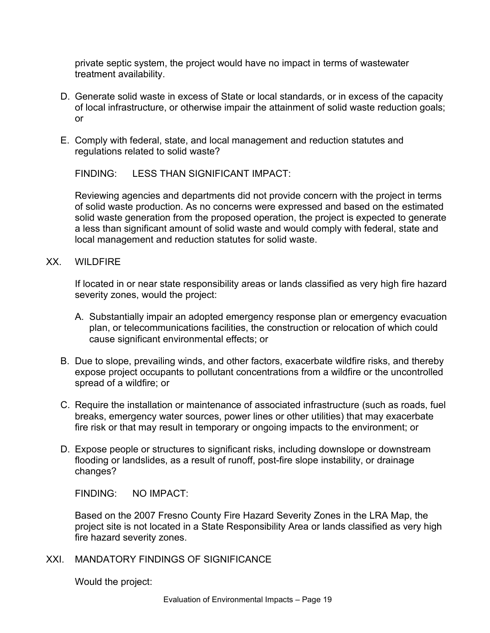private septic system, the project would have no impact in terms of wastewater treatment availability.

- D. Generate solid waste in excess of State or local standards, or in excess of the capacity of local infrastructure, or otherwise impair the attainment of solid waste reduction goals; or
- E. Comply with federal, state, and local management and reduction statutes and regulations related to solid waste?

FINDING: LESS THAN SIGNIFICANT IMPACT:

Reviewing agencies and departments did not provide concern with the project in terms of solid waste production. As no concerns were expressed and based on the estimated solid waste generation from the proposed operation, the project is expected to generate a less than significant amount of solid waste and would comply with federal, state and local management and reduction statutes for solid waste.

XX. WILDFIRE

If located in or near state responsibility areas or lands classified as very high fire hazard severity zones, would the project:

- A. Substantially impair an adopted emergency response plan or emergency evacuation plan, or telecommunications facilities, the construction or relocation of which could cause significant environmental effects; or
- B. Due to slope, prevailing winds, and other factors, exacerbate wildfire risks, and thereby expose project occupants to pollutant concentrations from a wildfire or the uncontrolled spread of a wildfire; or
- C. Require the installation or maintenance of associated infrastructure (such as roads, fuel breaks, emergency water sources, power lines or other utilities) that may exacerbate fire risk or that may result in temporary or ongoing impacts to the environment; or
- D. Expose people or structures to significant risks, including downslope or downstream flooding or landslides, as a result of runoff, post-fire slope instability, or drainage changes?

FINDING: NO IMPACT:

Based on the 2007 Fresno County Fire Hazard Severity Zones in the LRA Map, the project site is not located in a State Responsibility Area or lands classified as very high fire hazard severity zones.

XXI. MANDATORY FINDINGS OF SIGNIFICANCE

Would the project: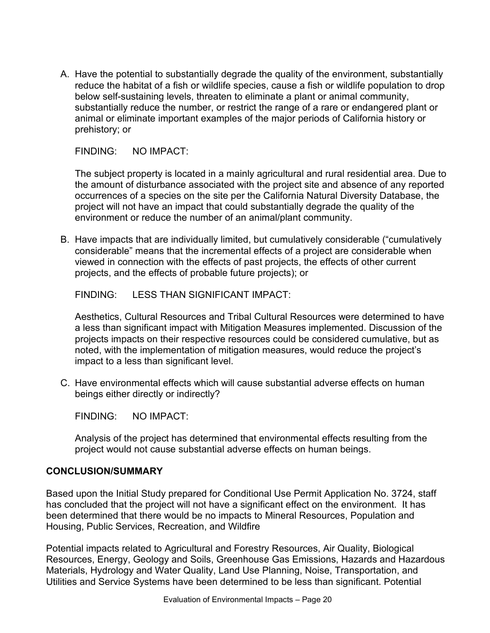A. Have the potential to substantially degrade the quality of the environment, substantially reduce the habitat of a fish or wildlife species, cause a fish or wildlife population to drop below self-sustaining levels, threaten to eliminate a plant or animal community, substantially reduce the number, or restrict the range of a rare or endangered plant or animal or eliminate important examples of the major periods of California history or prehistory; or

FINDING: NO IMPACT:

The subject property is located in a mainly agricultural and rural residential area. Due to the amount of disturbance associated with the project site and absence of any reported occurrences of a species on the site per the California Natural Diversity Database, the project will not have an impact that could substantially degrade the quality of the environment or reduce the number of an animal/plant community.

B. Have impacts that are individually limited, but cumulatively considerable ("cumulatively considerable" means that the incremental effects of a project are considerable when viewed in connection with the effects of past projects, the effects of other current projects, and the effects of probable future projects); or

FINDING: LESS THAN SIGNIFICANT IMPACT:

Aesthetics, Cultural Resources and Tribal Cultural Resources were determined to have a less than significant impact with Mitigation Measures implemented. Discussion of the projects impacts on their respective resources could be considered cumulative, but as noted, with the implementation of mitigation measures, would reduce the project's impact to a less than significant level.

C. Have environmental effects which will cause substantial adverse effects on human beings either directly or indirectly?

FINDING: NO IMPACT:

Analysis of the project has determined that environmental effects resulting from the project would not cause substantial adverse effects on human beings.

#### **CONCLUSION/SUMMARY**

Based upon the Initial Study prepared for Conditional Use Permit Application No. 3724, staff has concluded that the project will not have a significant effect on the environment. It has been determined that there would be no impacts to Mineral Resources, Population and Housing, Public Services, Recreation, and Wildfire

Potential impacts related to Agricultural and Forestry Resources, Air Quality, Biological Resources, Energy, Geology and Soils, Greenhouse Gas Emissions, Hazards and Hazardous Materials, Hydrology and Water Quality, Land Use Planning, Noise, Transportation, and Utilities and Service Systems have been determined to be less than significant. Potential